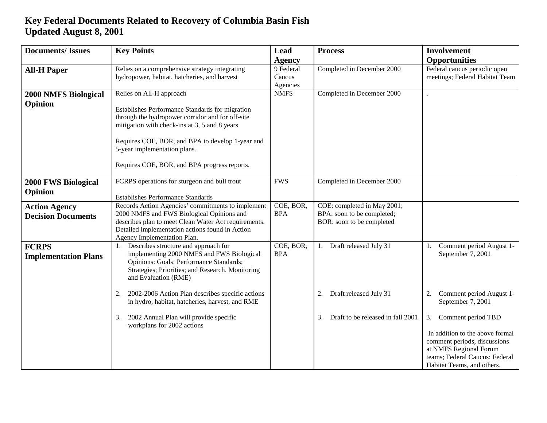## **Key Federal Documents Related to Recovery of Columbia Basin Fish Updated August 8, 2001**

| <b>Documents/Issues</b>     | <b>Key Points</b>                                                                                 | Lead                    | <b>Process</b>                                          | <b>Involvement</b>                                     |
|-----------------------------|---------------------------------------------------------------------------------------------------|-------------------------|---------------------------------------------------------|--------------------------------------------------------|
|                             |                                                                                                   | <b>Agency</b>           |                                                         | <b>Opportunities</b>                                   |
| <b>All-H Paper</b>          | Relies on a comprehensive strategy integrating                                                    | 9 Federal               | Completed in December 2000                              | Federal caucus periodic open                           |
|                             | hydropower, habitat, hatcheries, and harvest                                                      | Caucus                  |                                                         | meetings; Federal Habitat Team                         |
|                             | Relies on All-H approach                                                                          | Agencies<br><b>NMFS</b> | Completed in December 2000                              |                                                        |
| <b>2000 NMFS Biological</b> |                                                                                                   |                         |                                                         |                                                        |
| Opinion                     | Establishes Performance Standards for migration                                                   |                         |                                                         |                                                        |
|                             | through the hydropower corridor and for off-site                                                  |                         |                                                         |                                                        |
|                             | mitigation with check-ins at 3, 5 and 8 years                                                     |                         |                                                         |                                                        |
|                             | Requires COE, BOR, and BPA to develop 1-year and                                                  |                         |                                                         |                                                        |
|                             | 5-year implementation plans.                                                                      |                         |                                                         |                                                        |
|                             |                                                                                                   |                         |                                                         |                                                        |
|                             | Requires COE, BOR, and BPA progress reports.                                                      |                         |                                                         |                                                        |
| 2000 FWS Biological         | FCRPS operations for sturgeon and bull trout                                                      | <b>FWS</b>              | Completed in December 2000                              |                                                        |
| Opinion                     |                                                                                                   |                         |                                                         |                                                        |
|                             | <b>Establishes Performance Standards</b>                                                          |                         |                                                         |                                                        |
| <b>Action Agency</b>        | Records Action Agencies' commitments to implement                                                 | COE, BOR,               | COE: completed in May 2001;                             |                                                        |
| <b>Decision Documents</b>   | 2000 NMFS and FWS Biological Opinions and<br>describes plan to meet Clean Water Act requirements. | <b>BPA</b>              | BPA: soon to be completed;<br>BOR: soon to be completed |                                                        |
|                             | Detailed implementation actions found in Action                                                   |                         |                                                         |                                                        |
|                             | Agency Implementation Plan.                                                                       |                         |                                                         |                                                        |
| <b>FCRPS</b>                | Describes structure and approach for<br>1.                                                        | COE, BOR,               | Draft released July 31<br>1.                            | Comment period August 1-<br>Ι.                         |
| <b>Implementation Plans</b> | implementing 2000 NMFS and FWS Biological                                                         | <b>BPA</b>              |                                                         | September 7, 2001                                      |
|                             | Opinions: Goals; Performance Standards;<br>Strategies; Priorities; and Research. Monitoring       |                         |                                                         |                                                        |
|                             | and Evaluation (RME)                                                                              |                         |                                                         |                                                        |
|                             |                                                                                                   |                         |                                                         |                                                        |
|                             | 2002-2006 Action Plan describes specific actions<br>2.                                            |                         | Draft released July 31<br>2.                            | Comment period August 1-<br>2.                         |
|                             | in hydro, habitat, hatcheries, harvest, and RME                                                   |                         |                                                         | September 7, 2001                                      |
|                             | 2002 Annual Plan will provide specific<br>3.<br>workplans for 2002 actions                        |                         | Draft to be released in fall 2001<br>3.                 | Comment period TBD<br>3.                               |
|                             |                                                                                                   |                         |                                                         | In addition to the above formal                        |
|                             |                                                                                                   |                         |                                                         | comment periods, discussions<br>at NMFS Regional Forum |
|                             |                                                                                                   |                         |                                                         | teams; Federal Caucus; Federal                         |
|                             |                                                                                                   |                         |                                                         | Habitat Teams, and others.                             |